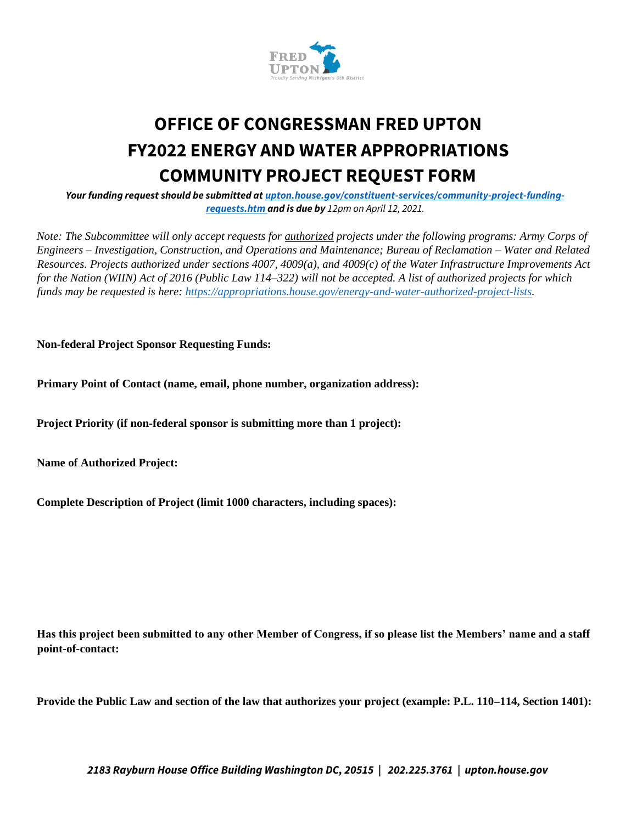

## **OFFICE OF CONGRESSMAN FRED UPTON FY2022 ENERGY AND WATER APPROPRIATIONS COMMUNITY PROJECT REQUEST FORM**

*Your funding request should be submitted at upton.house.gov/constituent-services/community-project-fundingrequests.htm and is due by 12pm on April 12, 2021.*

*Note: The Subcommittee will only accept requests for authorized projects under the following programs: Army Corps of Engineers – Investigation, Construction, and Operations and Maintenance; Bureau of Reclamation – Water and Related Resources. Projects authorized under sections 4007, 4009(a), and 4009(c) of the Water Infrastructure Improvements Act for the Nation (WIIN) Act of 2016 (Public Law 114–322) will not be accepted. A list of authorized projects for which funds may be requested is here: https://appropriations.house.gov/energy-and-water-authorized-project-lists.* 

**Non-federal Project Sponsor Requesting Funds:** 

**Primary Point of Contact (name, email, phone number, organization address):** 

**Project Priority (if non-federal sponsor is submitting more than 1 project):** 

**Name of Authorized Project:** 

**Complete Description of Project (limit 1000 characters, including spaces):** 

**Has this project been submitted to any other Member of Congress, if so please list the Members' name and a staff point-of-contact:** 

**Provide the Public Law and section of the law that authorizes your project (example: P.L. 110–114, Section 1401):** 

*2183 Rayburn House Office Building Washington DC, 20515 | 202.225.3761 | upton.house.gov*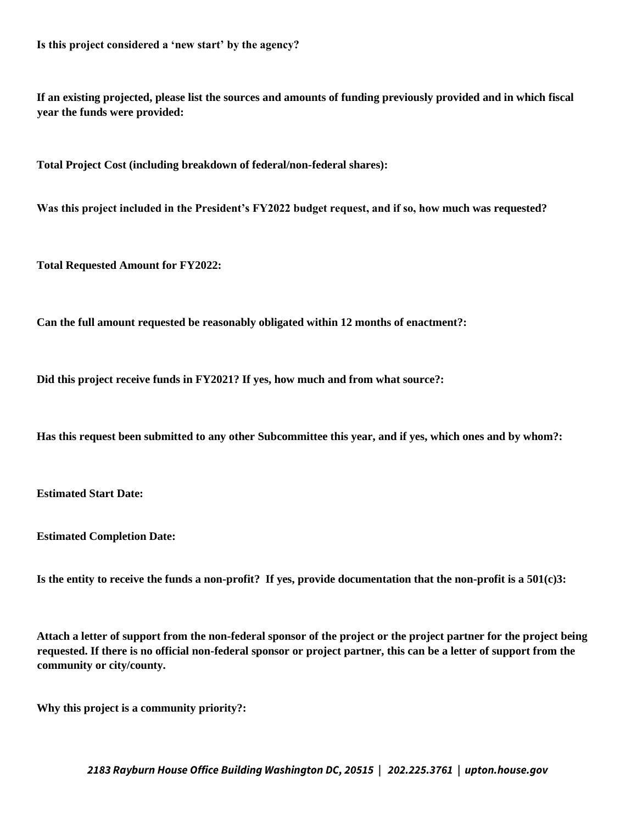**Is this project considered a 'new start' by the agency?** 

**If an existing projected, please list the sources and amounts of funding previously provided and in which fiscal year the funds were provided:** 

**Total Project Cost (including breakdown of federal/non-federal shares):** 

**Was this project included in the President's FY2022 budget request, and if so, how much was requested?** 

**Total Requested Amount for FY2022:** 

**Can the full amount requested be reasonably obligated within 12 months of enactment?:** 

**Did this project receive funds in FY2021? If yes, how much and from what source?:** 

**Has this request been submitted to any other Subcommittee this year, and if yes, which ones and by whom?:** 

**Estimated Start Date:** 

**Estimated Completion Date:** 

**Is the entity to receive the funds a non-profit? If yes, provide documentation that the non-profit is a 501(c)3:** 

**Attach a letter of support from the non-federal sponsor of the project or the project partner for the project being requested. If there is no official non-federal sponsor or project partner, this can be a letter of support from the community or city/county.** 

**Why this project is a community priority?:** 

*2183 Rayburn House Office Building Washington DC, 20515 | 202.225.3761 | upton.house.gov*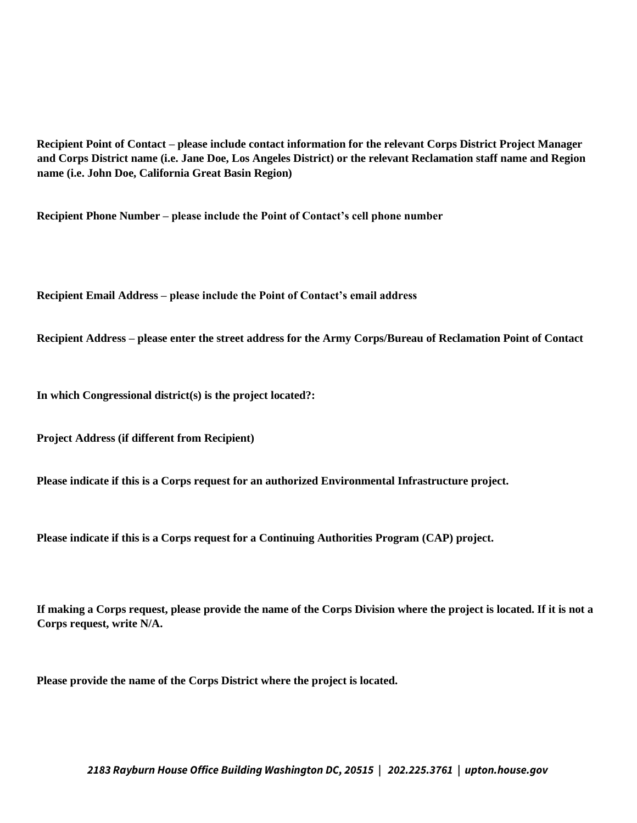**Recipient Point of Contact – please include contact information for the relevant Corps District Project Manager and Corps District name (i.e. Jane Doe, Los Angeles District) or the relevant Reclamation staff name and Region name (i.e. John Doe, California Great Basin Region)** 

**Recipient Phone Number – please include the Point of Contact's cell phone number** 

**Recipient Email Address – please include the Point of Contact's email address** 

**Recipient Address – please enter the street address for the Army Corps/Bureau of Reclamation Point of Contact** 

**In which Congressional district(s) is the project located?:** 

**Project Address (if different from Recipient)** 

**Please indicate if this is a Corps request for an authorized Environmental Infrastructure project.** 

**Please indicate if this is a Corps request for a Continuing Authorities Program (CAP) project.** 

**If making a Corps request, please provide the name of the Corps Division where the project is located. If it is not a Corps request, write N/A.** 

**Please provide the name of the Corps District where the project is located.**